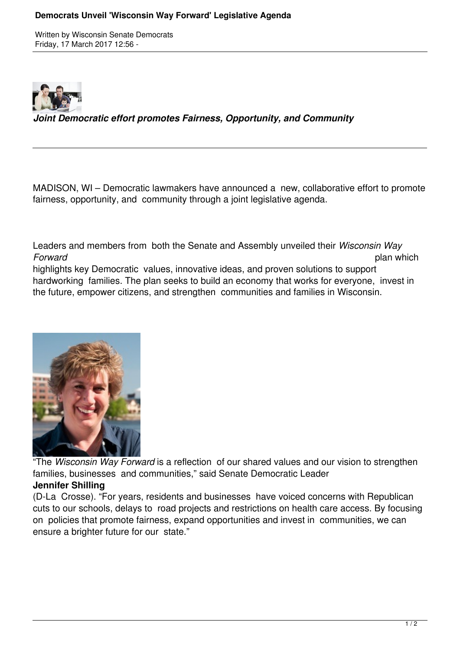Written by Wisconsin Senate Democrats Friday, 17 March 2017 12:56 -



*Joint Democratic effort promotes Fairness, Opportunity, and Community*

MADISON, WI – Democratic lawmakers have announced a new, collaborative effort to promote fairness, opportunity, and community through a joint legislative agenda.

Leaders and members from both the Senate and Assembly unveiled their *Wisconsin Way Forward* plan which

highlights key Democratic values, innovative ideas, and proven solutions to support hardworking families. The plan seeks to build an economy that works for everyone, invest in the future, empower citizens, and strengthen communities and families in Wisconsin.



"The *Wisconsin Way Forward* is a reflection of our shared values and our vision to strengthen families, businesses and communities," said Senate Democratic Leader **Jennifer Shilling**

(D-La Crosse). "For years, residents and businesses have voiced concerns with Republican cuts to our schools, delays to road projects and restrictions on health care access. By focusing on policies that promote fairness, expand opportunities and invest in communities, we can ensure a brighter future for our state."